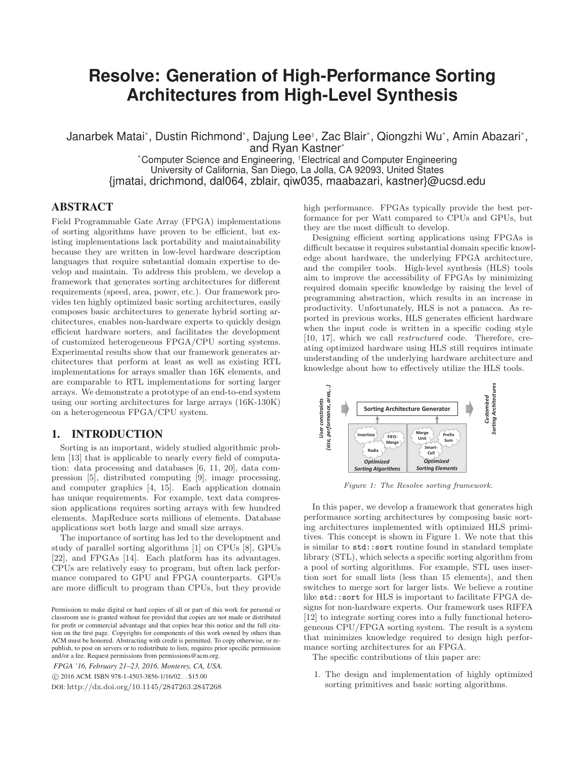# **Resolve: Generation of High-Performance Sorting Architectures from High-Level Synthesis**

Janarbek Matai\*, Dustin Richmond\*, Dajung Lee†, Zac Blair\*, Qiongzhi Wu\*, Amin Abazari\*, and Ryan Kastner\*

\*Computer Science and Engineering, †Electrical and Computer Engineering University of California, San Diego, La Jolla, CA 92093, United States {jmatai, drichmond, dal064, zblair, qiw035, maabazari, kastner}@ucsd.edu

## **ABSTRACT**

Field Programmable Gate Array (FPGA) implementations of sorting algorithms have proven to be efficient, but existing implementations lack portability and maintainability because they are written in low-level hardware description languages that require substantial domain expertise to develop and maintain. To address this problem, we develop a framework that generates sorting architectures for different requirements (speed, area, power, etc.). Our framework provides ten highly optimized basic sorting architectures, easily composes basic architectures to generate hybrid sorting architectures, enables non-hardware experts to quickly design efficient hardware sorters, and facilitates the development of customized heterogeneous FPGA/CPU sorting systems. Experimental results show that our framework generates architectures that perform at least as well as existing RTL implementations for arrays smaller than 16K elements, and are comparable to RTL implementations for sorting larger arrays. We demonstrate a prototype of an end-to-end system using our sorting architectures for large arrays (16K-130K) on a heterogeneous FPGA/CPU system.

### 1.

Sorting is an important, widely studied algorithmic problem [13] that is applicable to nearly every field of computation: data processing and databases [6, 11, 20], data compression [5], distributed computing [9], image processing, and computer graphics [4, 15]. Each application domain has unique requirements. For example, text data compression applications requires sorting arrays with few hundred elements. MapReduce sorts millions of elements. Database applications sort both large and small size arrays.

The importance of sorting has led to the development and study of parallel sorting algorithms [1] on CPUs [8], GPUs [22], and FPGAs [14]. Each platform has its advantages. CPUs are relatively easy to program, but often lack performance compared to GPU and FPGA counterparts. GPUs are more difficult to program than CPUs, but they provide

*FPGA '16, February 21–23, 2016, Monterey, CA, USA.*

-c 2016 ACM. ISBN 978-1-4503-3856-1/16/02. . . \$15.00

DOI: http://dx.doi.org/10.1145/2847263.2847268

high performance. FPGAs typically provide the best performance for per Watt compared to CPUs and GPUs, but they are the most difficult to develop.

Designing efficient sorting applications using FPGAs is difficult because it requires substantial domain specific knowledge about hardware, the underlying FPGA architecture, and the compiler tools. High-level synthesis (HLS) tools aim to improve the accessibility of FPGAs by minimizing required domain specific knowledge by raising the level of programming abstraction, which results in an increase in productivity. Unfortunately, HLS is not a panacea. As reported in previous works, HLS generates efficient hardware when the input code is written in a specific coding style [10, 17], which we call restructured code. Therefore, creating optimized hardware using HLS still requires intimate understanding of the underlying hardware architecture and knowledge about how to effectively utilize the HLS tools.



Figure 1: The Resolve sorting framework.

In this paper, we develop a framework that generates high performance sorting architectures by composing basic sorting architectures implemented with optimized HLS primitives. This concept is shown in Figure 1. We note that this is similar to std::sort routine found in standard template library (STL), which selects a specific sorting algorithm from a pool of sorting algorithms. For example, STL uses insertion sort for small lists (less than 15 elements), and then switches to merge sort for larger lists. We believe a routine like std::sort for HLS is important to facilitate FPGA designs for non-hardware experts. Our framework uses RIFFA [12] to integrate sorting cores into a fully functional heterogeneous CPU/FPGA sorting system. The result is a system that minimizes knowledge required to design high performance sorting architectures for an FPGA.

The specific contributions of this paper are:

1. The design and implementation of highly optimized sorting primitives and basic sorting algorithms.

Permission to make digital or hard copies of all or part of this work for personal or classroom use is granted without fee provided that copies are not made or distributed for profit or commercial advantage and that copies bear this notice and the full citation on the first page. Copyrights for components of this work owned by others than ACM must be honored. Abstracting with credit is permitted. To copy otherwise, or republish, to post on servers or to redistribute to lists, requires prior specific permission and/or a fee. Request permissions from permissions@acm.org.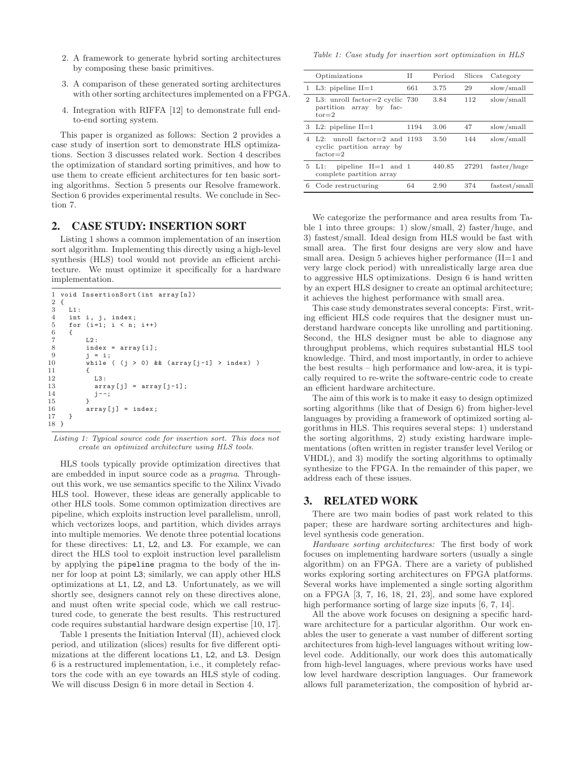- 2. A framework to generate hybrid sorting architectures by composing these basic primitives.
- 3. A comparison of these generated sorting architectures with other sorting architectures implemented on a FPGA.
- 4. Integration with RIFFA [12] to demonstrate full endto-end sorting system.

This paper is organized as follows: Section 2 provides a case study of insertion sort to demonstrate HLS optimizations. Section 3 discusses related work. Section 4 describes the optimization of standard sorting primitives, and how to use them to create efficient architectures for ten basic sorting algorithms. Section 5 presents our Resolve framework. Section 6 provides experimental results. We conclude in Section 7.

Listing 1 shows a common implementation of an insertion sort algorithm. Implementing this directly using a high-level synthesis (HLS) tool would not provide an efficient architecture. We must optimize it specifically for a hardware implementation.

```
1 void InsertionSort(int array[n])
   \frac{2}{3} {
   \begin{array}{cc} 3 & \text{L1}: \\ 4 & \text{int} \end{array}\begin{array}{ll}\n 4 & \text{int } i, j, \text{ index;} \\
 5 & \text{for } (i=1; j < n)\n \end{array}for (i=1; i < n; i++)\begin{matrix} 6 & 6 \\ 7 & 6 \end{matrix}\begin{array}{ccc} 7 & \phantom{0000} & \phantom{0000} & \phantom{0000} & \phantom{0000} & \phantom{0000} & \phantom{0000} & \phantom{0000} & \phantom{0000} & \phantom{0000} & \phantom{0000} & \phantom{0000} & \phantom{00000} & \phantom{00000} & \phantom{000000} & \phantom{000000} & \phantom{0000000} & \phantom{0000000} & \phantom{0000000} & \phantom{00000000} & \index = array[i];
\begin{array}{ccc} 9 & \text{j} = \text{i}; \\ 10 & \text{while} \end{array}while ( (j > 0) & & (array[j-1] > index) )
\frac{11}{12} {
                                     1.3 \cdot13 array[j] = array[j-1];<br>14 i-j14 j--;
\frac{15}{16}array[j] = index;17 }
18 }
```
Listing 1: Typical source code for insertion sort. This does not create an optimized architecture using HLS tools.

HLS tools typically provide optimization directives that are embedded in input source code as a pragma. Throughout this work, we use semantics specific to the Xilinx Vivado HLS tool. However, these ideas are generally applicable to other HLS tools. Some common optimization directives are pipeline, which exploits instruction level parallelism, unroll, which vectorizes loops, and partition, which divides arrays into multiple memories. We denote three potential locations for these directives: L1, L2, and L3. For example, we can direct the HLS tool to exploit instruction level parallelism by applying the pipeline pragma to the body of the inner for loop at point L3; similarly, we can apply other HLS optimizations at L1, L2, and L3. Unfortunately, as we will shortly see, designers cannot rely on these directives alone, and must often write special code, which we call restructured code, to generate the best results. This restructured code requires substantial hardware design expertise [10, 17].

Table 1 presents the Initiation Interval (II), achieved clock period, and utilization (slices) results for five different optimizations at the different locations L1, L2, and L3. Design 6 is a restructured implementation, i.e., it completely refactors the code with an eye towards an HLS style of coding. We will discuss Design 6 in more detail in Section 4.

Table 1: Case study for insertion sort optimization in HLS

|                | Optimizations                                                                      | Н    | Period | Slices | Category      |
|----------------|------------------------------------------------------------------------------------|------|--------|--------|---------------|
|                | 1 L3: pipeline $II=1$                                                              | 661  | 3.75   | 29     | slow/small    |
| $\overline{2}$ | L3: unroll factor=2 cyclic 730<br>partition array by fac-<br>$tor = 2$             |      | 3.84   | 112    | slow/small    |
|                | 3 L2: pipeline $II=1$                                                              | 1194 | 3.06   | 47     | slow/small    |
| 4              | unroll factor= $2$ and 1193<br>$1.2+$<br>cyclic partition array by<br>$factor = 2$ |      | 3.50   | 144    | slow/small    |
|                | pipeline $II=1$ and 1<br>$5 \text{ } L1:$<br>complete partition array              |      | 440.85 | 27291  | faster/huge   |
| 6              | Code restructuring                                                                 | 64   | 2.90   | 374    | fastest/small |
|                |                                                                                    |      |        |        |               |

We categorize the performance and area results from Table 1 into three groups: 1) slow/small, 2) faster/huge, and 3) fastest/small. Ideal design from HLS would be fast with small area. The first four designs are very slow and have small area. Design 5 achieves higher performance (II=1 and very large clock period) with unrealistically large area due to aggressive HLS optimizations. Design 6 is hand written by an expert HLS designer to create an optimal architecture; it achieves the highest performance with small area.

This case study demonstrates several concepts: First, writing efficient HLS code requires that the designer must understand hardware concepts like unrolling and partitioning. Second, the HLS designer must be able to diagnose any throughput problems, which requires substantial HLS tool knowledge. Third, and most importantly, in order to achieve the best results – high performance and low-area, it is typically required to re-write the software-centric code to create an efficient hardware architecture.

The aim of this work is to make it easy to design optimized sorting algorithms (like that of Design 6) from higher-level languages by providing a framework of optimized sorting algorithms in HLS. This requires several steps: 1) understand the sorting algorithms, 2) study existing hardware implementations (often written in register transfer level Verilog or VHDL), and 3) modify the sorting algorithms to optimally synthesize to the FPGA. In the remainder of this paper, we address each of these issues.

There are two main bodies of past work related to this paper; these are hardware sorting architectures and highlevel synthesis code generation.

Hardware sorting architectures: The first body of work focuses on implementing hardware sorters (usually a single algorithm) on an FPGA. There are a variety of published works exploring sorting architectures on FPGA platforms. Several works have implemented a single sorting algorithm on a FPGA [3, 7, 16, 18, 21, 23], and some have explored high performance sorting of large size inputs [6, 7, 14].

All the above work focuses on designing a specific hardware architecture for a particular algorithm. Our work enables the user to generate a vast number of different sorting architectures from high-level languages without writing lowlevel code. Additionally, our work does this automatically from high-level languages, where previous works have used low level hardware description languages. Our framework allows full parameterization, the composition of hybrid ar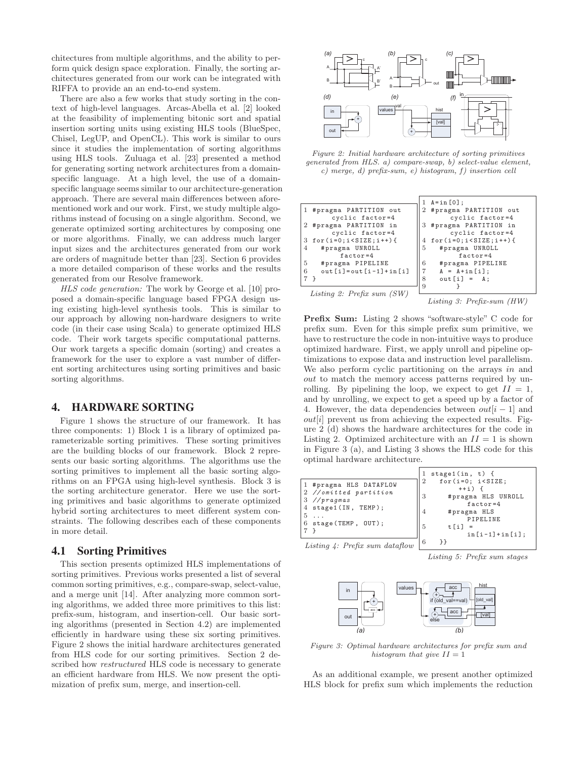chitectures from multiple algorithms, and the ability to perform quick design space exploration. Finally, the sorting architectures generated from our work can be integrated with RIFFA to provide an an end-to-end system.

There are also a few works that study sorting in the context of high-level languages. Arcas-Abella et al. [2] looked at the feasibility of implementing bitonic sort and spatial insertion sorting units using existing HLS tools (BlueSpec, Chisel, LegUP, and OpenCL). This work is similar to ours since it studies the implementation of sorting algorithms using HLS tools. Zuluaga et al. [23] presented a method for generating sorting network architectures from a domainspecific language. At a high level, the use of a domainspecific language seems similar to our architecture-generation approach. There are several main differences between aforementioned work and our work. First, we study multiple algorithms instead of focusing on a single algorithm. Second, we generate optimized sorting architectures by composing one or more algorithms. Finally, we can address much larger input sizes and the architectures generated from our work are orders of magnitude better than [23]. Section 6 provides a more detailed comparison of these works and the results generated from our Resolve framework.

HLS code generation: The work by George et al. [10] proposed a domain-specific language based FPGA design using existing high-level synthesis tools. This is similar to our approach by allowing non-hardware designers to write code (in their case using Scala) to generate optimized HLS code. Their work targets specific computational patterns. Our work targets a specific domain (sorting) and creates a framework for the user to explore a vast number of different sorting architectures using sorting primitives and basic sorting algorithms.

### **HARDWARE SORTING** 4.

Figure 1 shows the structure of our framework. It has three components: 1) Block 1 is a library of optimized parameterizable sorting primitives. These sorting primitives are the building blocks of our framework. Block 2 represents our basic sorting algorithms. The algorithms use the sorting primitives to implement all the basic sorting algorithms on an FPGA using high-level synthesis. Block 3 is the sorting architecture generator. Here we use the sorting primitives and basic algorithms to generate optimized hybrid sorting architectures to meet different system constraints. The following describes each of these components in more detail.

This section presents optimized HLS implementations of sorting primitives. Previous works presented a list of several common sorting primitives, e.g., compare-swap, select-value, and a merge unit [14]. After analyzing more common sorting algorithms, we added three more primitives to this list: prefix-sum, histogram, and insertion-cell. Our basic sorting algorithms (presented in Section 4.2) are implemented efficiently in hardware using these six sorting primitives. Figure 2 shows the initial hardware architectures generated from HLS code for our sorting primitives. Section 2 described how *restructured* HLS code is necessary to generate an efficient hardware from HLS. We now present the optimization of prefix sum, merge, and insertion-cell.



Figure 2: Initial hardware architecture of sorting primitives generated from HLS. a) compare-swap, b) select-value element, c) merge, d) prefix-sum, e) histogram, f) insertion cell

|                                  | 1 $A = in [0]$ ;               |
|----------------------------------|--------------------------------|
| 1 #pragma PARTITION out          | 2 #pragma PARTITION out        |
| cyclic factor=4                  | cyclic factor=4                |
| #pragma PARTITION in             | 3 #pragma PARTITION in         |
| cyclic factor=4                  | cyclic factor=4                |
| $for(i=0; i < SIZE; i++)$ {<br>3 | 4 for $(i=0; i < SIZE; i++)$ { |
| #pragma UNROLL<br>$\overline{4}$ | 5<br>#pragma UNROLL            |
| $factor=4$                       | $factor = 4$                   |
| 5<br>#pragma PIPELINE            | 6<br>#pragma PIPELINE          |
| $out[i] = out[i-1] + in[i]$<br>6 | 7<br>$A = A + in[i];$          |
|                                  | 8<br>$out[i] = A;$             |
|                                  | 9                              |
| Listing 2: Prefix sum (SW)       |                                |

Listing 3: Prefix-sum (HW)

**Prefix Sum:** Listing 2 shows "software-style" C code for prefix sum. Even for this simple prefix sum primitive, we have to restructure the code in non-intuitive ways to produce optimized hardware. First, we apply unroll and pipeline optimizations to expose data and instruction level parallelism. We also perform cyclic partitioning on the arrays in and out to match the memory access patterns required by unrolling. By pipelining the loop, we expect to get  $II = 1$ , and by unrolling, we expect to get a speed up by a factor of 4. However, the data dependencies between  $out[i-1]$  and  $out[i]$  prevent us from achieving the expected results. Figure 2 (d) shows the hardware architectures for the code in Listing 2. Optimized architecture with an  $II = 1$  is shown in Figure 3 (a), and Listing 3 shows the HLS code for this optimal hardware architecture.

| 1 #pragma HLS DATAFLOW<br>2 //omitted partition<br>$3$ //pragmas | $stage1(in, t)$ {<br>for $(i=0; i < SIZE;$<br>$\overline{2}$<br>$++i$ ) {<br>3<br>#pragma HLS UNROLL<br>factor= $4$ |
|------------------------------------------------------------------|---------------------------------------------------------------------------------------------------------------------|
| 4 stage1(IN, TEMP);<br>5                                         | $\overline{4}$<br>#pragma HLS                                                                                       |
| stage (TEMP, OUT);<br>6                                          | PIPELINE<br>5<br>$t[i] =$                                                                                           |
| Listing $\frac{1}{4}$ : Prefix sum dataflow                      | $in[i-1]+in[i];$<br>6<br>ን ን                                                                                        |

Listing 5: Prefix sum stages



Figure 3: Optimal hardware architectures for prefix sum and histogram that give  $II = 1$ 

As an additional example, we present another optimized HLS block for prefix sum which implements the reduction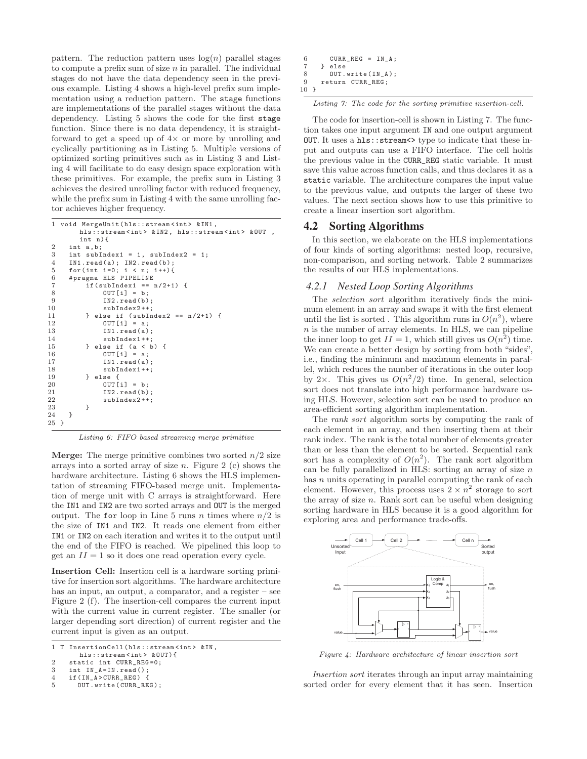pattern. The reduction pattern uses  $log(n)$  parallel stages to compute a prefix sum of size  $n$  in parallel. The individual stages do not have the data dependency seen in the previous example. Listing 4 shows a high-level prefix sum implementation using a reduction pattern. The stage functions are implementations of the parallel stages without the data dependency. Listing 5 shows the code for the first stage function. Since there is no data dependency, it is straightforward to get a speed up of  $4\times$  or more by unrolling and cyclically partitioning as in Listing 5. Multiple versions of optimized sorting primitives such as in Listing 3 and Listing 4 will facilitate to do easy design space exploration with these primitives. For example, the prefix sum in Listing 3 achieves the desired unrolling factor with reduced frequency, while the prefix sum in Listing 4 with the same unrolling factor achieves higher frequency.

```
1 void MergeUnit(hls::stream<int> &IN1,
          hls::stream<int> &IN2, hls::stream<int> &OUT,
          int n){
 2 int a, b;<br>3 int subI
 3 int subIndex1 = 1, subIndex2 = 1;<br>
\frac{1}{4} IN1 read(a) · IN2 read(b) ·
       IN1.read(a); IN2.read(b);
 5 for(int i=0; i < n; i++){<br>6 #pragma HLS PIPELINE
 6 # pragma HLS PIPELINE<br>7 if (subIndex1 == 1
 7 if(subIndex1 == n/2+1) {<br>8 0UT[i] = b;
 8 OUT[i] = b;<br>9 IN2.read(b)9 IN2.read(b);<br>10 subIndex2++;
10 subIndex2++;<br>11 } else if (subIn
11 } else if (subIndex2 == n/2+1) {<br>12 0UT[i] = a;
12 OUT[i] = a;<br>13 IN1.read(a)
13 IN1.read(a);<br>14 subIndex1++;
14 subIndex1++;<br>15 } else if (a < b
15 } else if (a < b) {<br>16 0UT [i] = a;
16 00T[i] = a;<br>17 1N1.read(a)
17 IN1.read(a);<br>18 subIndex1++;18 subIndex1++;<br>19 } else {
19 } else {<br>20 0UT[
20 OUT[i] = b;<br>IN2.read(b)21 IN2.read(b);<br>22 subIndex2++;
            subIndex2++;
23 }
24 }
25 }
```
Listing 6: FIFO based streaming merge primitive

**Merge:** The merge primitive combines two sorted  $n/2$  size arrays into a sorted array of size n. Figure 2 (c) shows the hardware architecture. Listing 6 shows the HLS implementation of streaming FIFO-based merge unit. Implementation of merge unit with C arrays is straightforward. Here the IN1 and IN2 are two sorted arrays and OUT is the merged output. The for loop in Line 5 runs n times where  $n/2$  is the size of IN1 and IN2. It reads one element from either IN1 or IN2 on each iteration and writes it to the output until the end of the FIFO is reached. We pipelined this loop to get an  $II = 1$  so it does one read operation every cycle.

**Insertion Cell:** Insertion cell is a hardware sorting primitive for insertion sort algorithms. The hardware architecture has an input, an output, a comparator, and a register – see Figure 2 (f). The insertion-cell compares the current input with the current value in current register. The smaller (or larger depending sort direction) of current register and the current input is given as an output.

|  | 1 T InsertionCell(hls::stream <int> &amp;IN,</int> |  |
|--|----------------------------------------------------|--|
|  | $h \rightarrow \cdot \cdot \cdot + \cdot$          |  |

hls::stream<int> &OUT){<br>2 static int CURR\_REG=0;

```
3 int IN_A=IN.read();<br>4 if(IN A>CURR REG) {
```

```
4 if(IN_A>CURR_REG)<br>5 0UT.write(CURR_R
```

```
OUT.write(CURR_REG);
```

```
6 CURR_REG = IN_A;<br>
7 } else
7 } else
8 OUT.write(IN_A);<br>9 return CURR REG:
      9 return CURR_REG;
10 }
```
Listing 7: The code for the sorting primitive insertion-cell.

The code for insertion-cell is shown in Listing 7. The function takes one input argument IN and one output argument OUT. It uses a hls:: stream<>>
type to indicate that these input and outputs can use a FIFO interface. The cell holds the previous value in the CURR\_REG static variable. It must save this value across function calls, and thus declares it as a static variable. The architecture compares the input value to the previous value, and outputs the larger of these two values. The next section shows how to use this primitive to create a linear insertion sort algorithm.

In this section, we elaborate on the HLS implementations of four kinds of sorting algorithms: nested loop, recursive, non-comparison, and sorting network. Table 2 summarizes the results of our HLS implementations.

### *4.2.1 Nested Loop Sorting Algorithms*

The selection sort algorithm iteratively finds the minimum element in an array and swaps it with the first element until the list is sorted. This algorithm runs in  $O(n^2)$ , where  $n$  is the number of array elements. In HLS, we can pipeline the inner loop to get  $II = 1$ , which still gives us  $O(n^2)$  time. We can create a better design by sorting from both "sides", i.e., finding the minimum and maximum elements in parallel, which reduces the number of iterations in the outer loop by 2×. This gives us  $O(n^2/2)$  time. In general, selection sort does not translate into high performance hardware using HLS. However, selection sort can be used to produce an area-efficient sorting algorithm implementation.

The rank sort algorithm sorts by computing the rank of each element in an array, and then inserting them at their rank index. The rank is the total number of elements greater than or less than the element to be sorted. Sequential rank sort has a complexity of  $O(n^2)$ . The rank sort algorithm can be fully parallelized in HLS: sorting an array of size  $n$ has  $n$  units operating in parallel computing the rank of each element. However, this process uses  $2 \times n^2$  storage to sort the array of size  $n$ . Rank sort can be useful when designing sorting hardware in HLS because it is a good algorithm for exploring area and performance trade-offs.



Figure 4: Hardware architecture of linear insertion sort

Insertion sort iterates through an input array maintaining sorted order for every element that it has seen. Insertion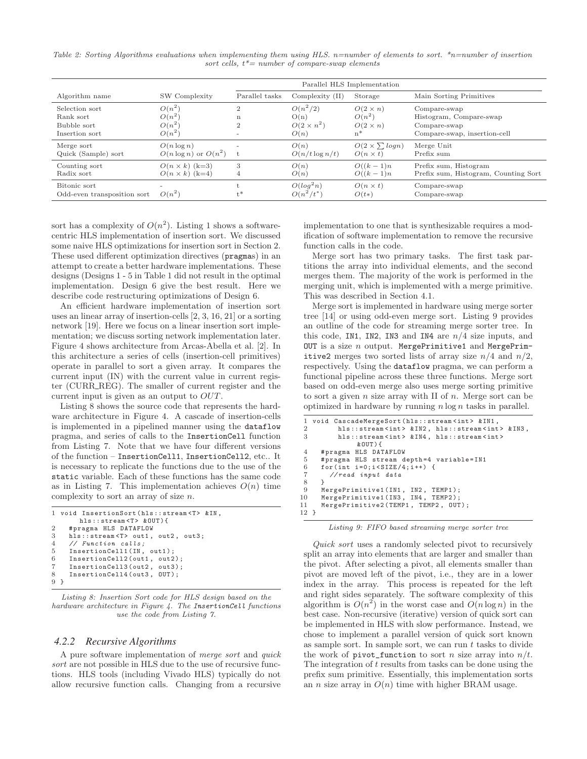Table 2: Sorting Algorithms evaluations when implementing them using HLS. n=number of elements to sort.  $*_{n=number}$  of insertion sort cells,  $t^*$  = number of compare-swap elements

|                                                              |                                              | Parallel HLS Implementation                     |                                                 |                                                         |                                                                                         |  |  |  |
|--------------------------------------------------------------|----------------------------------------------|-------------------------------------------------|-------------------------------------------------|---------------------------------------------------------|-----------------------------------------------------------------------------------------|--|--|--|
| Algorithm name                                               | SW Complexity                                | Parallel tasks                                  | $Complexity$ (II)                               | Storage                                                 | Main Sorting Primitives                                                                 |  |  |  |
| Selection sort<br>Rank sort<br>Bubble sort<br>Insertion sort | $O(n^2)$<br>$O(n^2)$<br>$O(n^2)$<br>$O(n^2)$ | $\overline{2}$<br>$\mathbf n$<br>$\overline{2}$ | $O(n^2/2)$<br>O(n)<br>$O(2 \times n^2)$<br>O(n) | $O(2 \times n)$<br>$O(n^2)$<br>$O(2 \times n)$<br>$n^*$ | Compare-swap<br>Histogram, Compare-swap<br>Compare-swap<br>Compare-swap, insertion-cell |  |  |  |
| Merge sort                                                   | $O(n \log n)$                                | t                                               | O(n)                                            | $O(2 \times \sum log n)$                                | Merge Unit                                                                              |  |  |  |
| Quick (Sample) sort                                          | $O(n \log n)$ or $O(n^2)$                    |                                                 | $O(n/t \log n/t)$                               | $O(n \times t)$                                         | Prefix sum                                                                              |  |  |  |
| Counting sort                                                | $O(n \times k)$ (k=3)                        | 3                                               | O(n)                                            | $O((k-1)n)$                                             | Prefix sum, Histogram                                                                   |  |  |  |
| Radix sort                                                   | $O(n \times k)$ (k=4)                        | 4                                               | O(n)                                            | $O((k-1)n)$                                             | Prefix sum, Histogram, Counting Sort                                                    |  |  |  |
| Bitonic sort                                                 | $\overline{\phantom{a}}$                     | $t^*$                                           | $O(log^2 n)$                                    | $O(n \times t)$                                         | Compare-swap                                                                            |  |  |  |
| Odd-even transposition sort                                  | $O(n^2)$                                     |                                                 | $O(n^2/t^*)$                                    | $O(t*)$                                                 | Compare-swap                                                                            |  |  |  |

sort has a complexity of  $O(n^2)$ . Listing 1 shows a softwarecentric HLS implementation of insertion sort. We discussed some naive HLS optimizations for insertion sort in Section 2. These used different optimization directives (pragmas) in an attempt to create a better hardware implementations. These designs (Designs 1 - 5 in Table 1 did not result in the optimal implementation. Design 6 give the best result. Here we describe code restructuring optimizations of Design 6.

An efficient hardware implementation of insertion sort uses an linear array of insertion-cells [2, 3, 16, 21] or a sorting network [19]. Here we focus on a linear insertion sort implementation; we discuss sorting network implementation later. Figure 4 shows architecture from Arcas-Abella et al. [2]. In this architecture a series of cells (insertion-cell primitives) operate in parallel to sort a given array. It compares the current input (IN) with the current value in current register (CURR\_REG). The smaller of current register and the current input is given as an output to OUT.

Listing 8 shows the source code that represents the hardware architecture in Figure 4. A cascade of insertion-cells is implemented in a pipelined manner using the dataflow pragma, and series of calls to the InsertionCell function from Listing 7. Note that we have four different versions of the function – InsertionCell1, InsertionCell2, etc.. It is necessary to replicate the functions due to the use of the static variable. Each of these functions has the same code as in Listing 7. This implementation achieves  $O(n)$  time complexity to sort an array of size n.

```
1 void InsertionSort(hls::stream <T> &IN ,
         hls::stream <T> &OUT){
2 # pragma HLS DATAFLOW<br>3 hls::stream < T> out1.
3 hls::stream<T> out1, out2, out3;<br>
\frac{1}{4} // Function calls:
4 // Function calls;<br>5 InsertionCell1(IN.
5 InsertionCell1(IN, out1);<br>6 InsertionCell2(out1, out2
      InsertionCell2(out1, out2);
      InsertionCell3(out2, out3);
8 InsertionCell4(out3 , OUT);
9 }
```
Listing 8: Insertion Sort code for HLS design based on the hardware architecture in Figure 4. The InsertionCell functions use the code from Listing 7.

### *4.2.2 Recursive Algorithms*

A pure software implementation of merge sort and quick sort are not possible in HLS due to the use of recursive functions. HLS tools (including Vivado HLS) typically do not allow recursive function calls. Changing from a recursive

implementation to one that is synthesizable requires a modification of software implementation to remove the recursive function calls in the code.

Merge sort has two primary tasks. The first task partitions the array into individual elements, and the second merges them. The majority of the work is performed in the merging unit, which is implemented with a merge primitive. This was described in Section 4.1.

Merge sort is implemented in hardware using merge sorter tree [14] or using odd-even merge sort. Listing 9 provides an outline of the code for streaming merge sorter tree. In this code, IN1, IN2, IN3 and IN4 are  $n/4$  size inputs, and OUT is a size  $n$  output. MergePrimitive1 and MergePrimitive2 merges two sorted lists of array size  $n/4$  and  $n/2$ , respectively. Using the dataflow pragma, we can perform a functional pipeline across these three functions. Merge sort based on odd-even merge also uses merge sorting primitive to sort a given  $n$  size array with II of  $n$ . Merge sort can be optimized in hardware by running  $n \log n$  tasks in parallel.

```
1 void CascadeMergeSort (hls::stream<int> &IN1,
 2 hls::stream <int > &IN2, hls::stream <int > &IN3, <br>3 hls::stream <int > &IN4 hls::stream <int >
             hls::stream<int> &IN4, hls::stream<int>
                    &OUT){
 4 #pragma HLS DATAFLOW<br>5 #pragma HLS stream d
 5 # pragma HLS stream depth=4 variable=IN1<br>6 for(int i=0:i<SIZE/4:i++) {
       for(int i=0; i < SLZE/4; i++) {
 7 //read input data
 \begin{matrix} 8 & 3 \\ 0 & 1 \end{matrix}9 MergePrimitive1(IN1, IN2, TEMP1);<br>10 MergePrimitive1(IN3, IN4, TEMP2);
10 MergePrimitive1(IN3, IN4, TEMP2);<br>11 MergePrimitive2(TEMP1, TEMP2, OUT
       MergePrimitive2(TEMP1, TEMP2, OUT);
12 }
```
Listing 9: FIFO based streaming merge sorter tree

Quick sort uses a randomly selected pivot to recursively split an array into elements that are larger and smaller than the pivot. After selecting a pivot, all elements smaller than pivot are moved left of the pivot, i.e., they are in a lower index in the array. This process is repeated for the left and right sides separately. The software complexity of this algorithm is  $O(n^2)$  in the worst case and  $O(n \log n)$  in the best case. Non-recursive (iterative) version of quick sort can be implemented in HLS with slow performance. Instead, we chose to implement a parallel version of quick sort known as sample sort. In sample sort, we can run  $t$  tasks to divide the work of pivot\_function to sort *n* size array into  $n/t$ . The integration of  $t$  results from tasks can be done using the prefix sum primitive. Essentially, this implementation sorts an *n* size array in  $O(n)$  time with higher BRAM usage.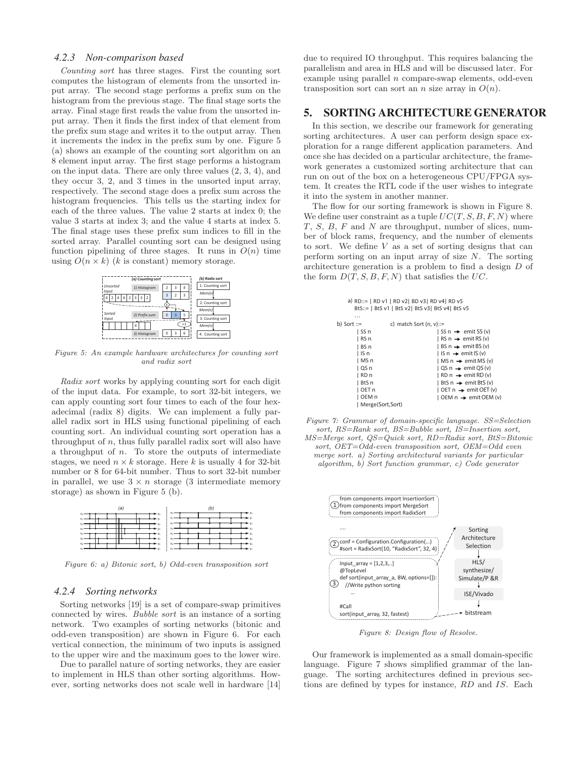### *4.2.3 Non-comparison based*

Counting sort has three stages. First the counting sort computes the histogram of elements from the unsorted input array. The second stage performs a prefix sum on the histogram from the previous stage. The final stage sorts the array. Final stage first reads the value from the unsorted input array. Then it finds the first index of that element from the prefix sum stage and writes it to the output array. Then it increments the index in the prefix sum by one. Figure 5 (a) shows an example of the counting sort algorithm on an 8 element input array. The first stage performs a histogram on the input data. There are only three values (2, 3, 4), and they occur 3, 2, and 3 times in the unsorted input array, respectively. The second stage does a prefix sum across the histogram frequencies. This tells us the starting index for each of the three values. The value 2 starts at index 0; the value 3 starts at index 3; and the value 4 starts at index 5. The final stage uses these prefix sum indices to fill in the sorted array. Parallel counting sort can be designed using function pipelining of three stages. It runs in  $O(n)$  time using  $O(n \times k)$  (k is constant) memory storage.



Figure 5: An example hardware architectures for counting sort and radix sort

Radix sort works by applying counting sort for each digit of the input data. For example, to sort 32-bit integers, we can apply counting sort four times to each of the four hexadecimal (radix 8) digits. We can implement a fully parallel radix sort in HLS using functional pipelining of each counting sort. An individual counting sort operation has a throughput of  $n$ , thus fully parallel radix sort will also have a throughput of  $n$ . To store the outputs of intermediate stages, we need  $n \times k$  storage. Here k is usually 4 for 32-bit number or 8 for 64-bit number. Thus to sort 32-bit number in parallel, we use  $3 \times n$  storage (3 intermediate memory storage) as shown in Figure 5 (b).



Figure 6: a) Bitonic sort, b) Odd-even transposition sort

### *4.2.4 Sorting networks*

Sorting networks [19] is a set of compare-swap primitives connected by wires. Bubble sort is an instance of a sorting network. Two examples of sorting networks (bitonic and odd-even transposition) are shown in Figure 6. For each vertical connection, the minimum of two inputs is assigned to the upper wire and the maximum goes to the lower wire.

Due to parallel nature of sorting networks, they are easier to implement in HLS than other sorting algorithms. However, sorting networks does not scale well in hardware [14]

due to required IO throughput. This requires balancing the parallelism and area in HLS and will be discussed later. For example using parallel  $n$  compare-swap elements, odd-even transposition sort can sort an n size array in  $O(n)$ .

### 5.

In this section, we describe our framework for generating sorting architectures. A user can perform design space exploration for a range different application parameters. And once she has decided on a particular architecture, the framework generates a customized sorting architecture that can run on out of the box on a heterogeneous CPU/FPGA system. It creates the RTL code if the user wishes to integrate it into the system in another manner.

The flow for our sorting framework is shown in Figure 8. We define user constraint as a tuple  $UC(T, S, B, F, N)$  where T, S, B, F and N are throughput, number of slices, number of block rams, frequency, and the number of elements to sort. We define V as a set of sorting designs that can perform sorting on an input array of size N. The sorting architecture generation is a problem to find a design D of the form  $D(T, S, B, F, N)$  that satisfies the UC.

|                  | a) RD::=   RD v1   RD v2  BD v3  RD v4  RD v5<br>BtS::=   BtS v1   BtS v2  BtS v3  BtS v4  BtS v5 |  |  |  |  |  |  |  |  |
|------------------|---------------------------------------------------------------------------------------------------|--|--|--|--|--|--|--|--|
| $\cdots$         |                                                                                                   |  |  |  |  |  |  |  |  |
| b) Sort $ ::=$   | c) match Sort $(n, v) ::=$                                                                        |  |  |  |  |  |  |  |  |
| l SS n           | $ $ SS n $\rightarrow$ emit SS (v)                                                                |  |  |  |  |  |  |  |  |
| l RS n           | $ $ RS n $\rightarrow$ emit RS (v)                                                                |  |  |  |  |  |  |  |  |
| l BS n           | $ $ BS n $\rightarrow$ emit BS (v)                                                                |  |  |  |  |  |  |  |  |
| l IS n           | $ $ IS n $\rightarrow$ emit IS (v)                                                                |  |  |  |  |  |  |  |  |
| l MS n           | $ $ MS n $\rightarrow$ emit MS (v)                                                                |  |  |  |  |  |  |  |  |
| l QS n           | $\log n \rightarrow \text{emit }QS(v)$                                                            |  |  |  |  |  |  |  |  |
| l RD n           | $ RDn \rightarrow emitRD(v) $                                                                     |  |  |  |  |  |  |  |  |
| l BtS n          | $ $ BtS n $\rightarrow$ emit BtS (v)                                                              |  |  |  |  |  |  |  |  |
| l OET n          | $\vert$ OET n $\rightarrow$ emit OET (v)                                                          |  |  |  |  |  |  |  |  |
| l OEM n          | $\vert$ OEM n $\rightarrow$ emit OEM (v)                                                          |  |  |  |  |  |  |  |  |
| Merge(Sort,Sort) |                                                                                                   |  |  |  |  |  |  |  |  |
|                  |                                                                                                   |  |  |  |  |  |  |  |  |

Figure 7: Grammar of domain-specific language. SS=Selection sort, RS=Rank sort, BS=Bubble sort, IS=Insertion sort, MS=Merge sort, QS=Quick sort, RD=Radix sort, BtS=Bitonic sort, OET=Odd-even transposition sort, OEM=Odd even merge sort. a) Sorting architectural variants for particular algorithm, b) Sort function grammar, c) Code generator



Figure 8: Design flow of Resolve.

Our framework is implemented as a small domain-specific language. Figure 7 shows simplified grammar of the language. The sorting architectures defined in previous sections are defined by types for instance, RD and IS. Each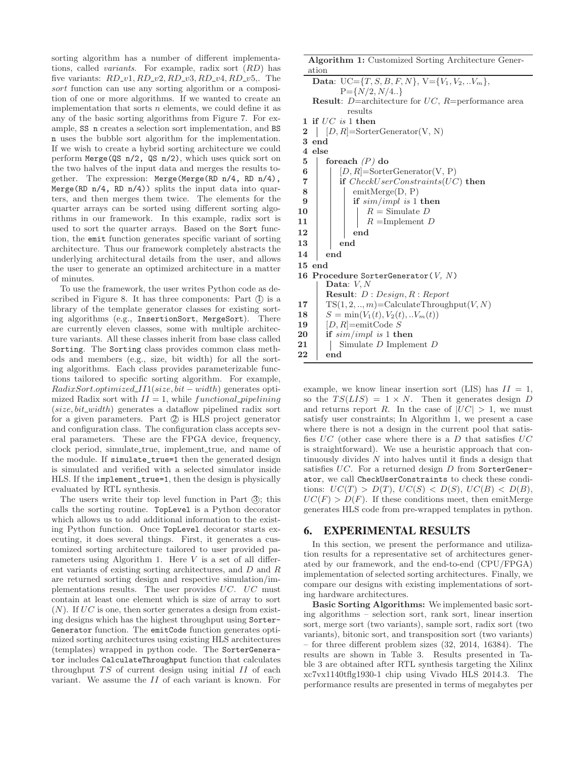sorting algorithm has a number of different implementations, called variants. For example, radix sort (RD) has five variants:  $RD_v1$ ,  $RD_v2$ ,  $RD_v3$ ,  $RD_v4$ ,  $RD_v5$ ,. The sort function can use any sorting algorithm or a composition of one or more algorithms. If we wanted to create an implementation that sorts  $n$  elements, we could define it as any of the basic sorting algorithms from Figure 7. For example, SS n creates a selection sort implementation, and BS n uses the bubble sort algorithm for the implementation. If we wish to create a hybrid sorting architecture we could perform Merge(QS n/2, QS n/2), which uses quick sort on the two halves of the input data and merges the results together. The expression: Merge(Merge(RD n/4, RD n/4), Merge(RD  $n/4$ , RD  $n/4$ )) splits the input data into quarters, and then merges them twice. The elements for the quarter arrays can be sorted using different sorting algorithms in our framework. In this example, radix sort is used to sort the quarter arrays. Based on the Sort function, the emit function generates specific variant of sorting architecture. Thus our framework completely abstracts the underlying architectural details from the user, and allows the user to generate an optimized architecture in a matter of minutes.

To use the framework, the user writes Python code as described in Figure 8. It has three components: Part  $\circled{1}$  is a library of the template generator classes for existing sorting algorithms (e.g., InsertionSort, MergeSort). There are currently eleven classes, some with multiple architecture variants. All these classes inherit from base class called Sorting. The Sorting class provides common class methods and members (e.g., size, bit width) for all the sorting algorithms. Each class provides parameterizable functions tailored to specific sorting algorithm. For example,  $RadixSort. optimized\_III(size, bit-width)$  generates optimized Radix sort with  $II = 1$ , while functional *pipelining*  $(size, bit\_width)$  generates a dataflow pipelined radix sort for a given parameters. Part  $\oslash$  is HLS project generator and configuration class. The configuration class accepts several parameters. These are the FPGA device, frequency, clock period, simulate\_true, implement\_true, and name of the module. If simulate\_true=1 then the generated design is simulated and verified with a selected simulator inside HLS. If the implement\_true=1, then the design is physically evaluated by RTL synthesis.

The users write their top level function in Part  $\circled{3}$ ; this calls the sorting routine. TopLevel is a Python decorator which allows us to add additional information to the existing Python function. Once TopLevel decorator starts executing, it does several things. First, it generates a customized sorting architecture tailored to user provided parameters using Algorithm 1. Here  $V$  is a set of all different variants of existing sorting architectures, and D and R are returned sorting design and respective simulation/implementations results. The user provides UC. UC must contain at least one element which is size of array to sort  $(N)$ . If UC is one, then sorter generates a design from existing designs which has the highest throughput using Sorter-Generator function. The emitCode function generates optimized sorting architectures using existing HLS architectures (templates) wrapped in python code. The SorterGenerator includes CalculateThroughput function that calculates throughput  $TS$  of current design using initial  $II$  of each variant. We assume the II of each variant is known. For

**Algorithm 1:** Customized Sorting Architecture Generation **Data:**  $UC=\{T, S, B, F, N\}$ ,  $V=\{V_1, V_2, ...V_m\}$ ,  $P = \{N/2, N/4.\}$ **Result**: D=architecture for UC, R=performance area results **1 if** UC is 1 **then 2**  $[D, R] = \text{SortexGenerator}(V, N)$ **3 end 4 else 5 foreach** (P) **do 6**  $[D, R] = \text{SortexGenerator}(V, P)$ **7 if** CheckUserConstraints(UC) **then**  $8$  | emitMerge(D, P) **9 if** sim/impl is 1 **then**  $10$  | |  $R =$  Simulate D 11 | |  $R = \text{Implement } D$ **12 end 13 end 14 end 15 end** 16 Procedure SorterGenerator(V, N) Data:  $V, N$ **Result**: D : Design, R : Report **17**  $TS(1, 2, ..., m) = CalculateThroughput(V, N)$ **18**  $S = \min(V_1(t), V_2(t), ..V_m(t))$ **19** [D, R]=emitCode S **20 if** sim/impl is 1 **then** 21 | Simulate D Implement D

**22 end**

example, we know linear insertion sort (LIS) has  $II = 1$ , so the  $TS(LIS) = 1 \times N$ . Then it generates design D and returns report R. In the case of  $|UC| > 1$ , we must satisfy user constraints; In Algorithm 1, we present a case where there is not a design in the current pool that satisfies  $UC$  (other case where there is a D that satisfies  $UC$ is straightforward). We use a heuristic approach that continuously divides  $N$  into halves until it finds a design that satisfies  $UC$ . For a returned design  $D$  from SorterGenerator, we call CheckUserConstraints to check these conditions:  $UC(T) > D(T)$ ,  $UC(S) < D(S)$ ,  $UC(B) < D(B)$ ,  $UC(F) > D(F)$ . If these conditions meet, then emitMerge generates HLS code from pre-wrapped templates in python.

In this section, we present the performance and utilization results for a representative set of architectures generated by our framework, and the end-to-end (CPU/FPGA) implementation of selected sorting architectures. Finally, we compare our designs with existing implementations of sorting hardware architectures.

**Basic Sorting Algorithms:** We implemented basic sorting algorithms – selection sort, rank sort, linear insertion sort, merge sort (two variants), sample sort, radix sort (two variants), bitonic sort, and transposition sort (two variants) – for three different problem sizes (32, 2014, 16384). The results are shown in Table 3. Results presented in Table 3 are obtained after RTL synthesis targeting the Xilinx xc7vx1140tflg1930-1 chip using Vivado HLS 2014.3. The performance results are presented in terms of megabytes per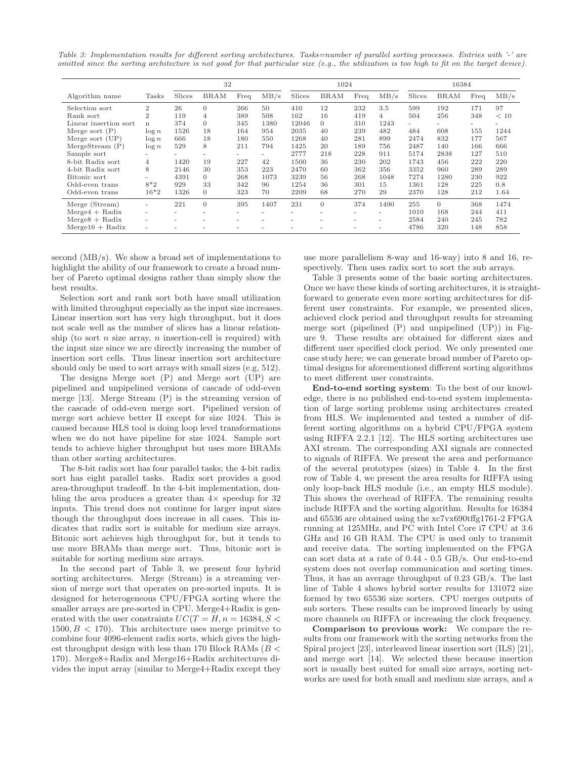Table 3: Implementation results for different sorting architectures. Tasks=number of parallel sorting processes. Entries with '-' are omitted since the sorting architecture is not good for that particular size (e.g., the utilization is too high to fit on the target device).

|                       |                |        | 32                       |                          |                          |                          | 1024                     |      |      |        | 16384                    |                          |      |
|-----------------------|----------------|--------|--------------------------|--------------------------|--------------------------|--------------------------|--------------------------|------|------|--------|--------------------------|--------------------------|------|
| Algorithm name        | Tasks          | Slices | <b>BRAM</b>              | Freq                     | MB/s                     | Slices                   | <b>BRAM</b>              | Freq | MB/s | Slices | <b>BRAM</b>              | Freq                     | MB/s |
| Selection sort        | $\overline{2}$ | 26     | $\overline{0}$           | 266                      | 50                       | 410                      | 12                       | 232  | 3.5  | 599    | 192                      | 171                      | 97   |
| Rank sort             | $\overline{2}$ | 119    | 4                        | 389                      | 508                      | 162                      | 16                       | 419  | 4    | 504    | 256                      | 348                      | < 10 |
| Linear insertion sort | n              | 374    | $\Omega$                 | 345                      | 1380                     | 12046                    | $\Omega$                 | 310  | 1243 | ٠      | $\overline{\phantom{a}}$ | $\overline{\phantom{a}}$ |      |
| Merge sort $(P)$      | $\log n$       | 1526   | 18                       | 164                      | 954                      | 2035                     | 40                       | 239  | 482  | 484    | 608                      | 155                      | 1244 |
| Merge sort $(UP)$     | $\log n$       | 666    | 18                       | 180                      | 550                      | 1268                     | 40                       | 281  | 899  | 2474   | 832                      | 177                      | 567  |
| MergeStream(P)        | $\log n$       | 529    | 8                        | 211                      | 794                      | 1425                     | 20                       | 189  | 756  | 2487   | 140                      | 166                      | 666  |
| Sample sort           | ۰              | ۰      | $\overline{\phantom{a}}$ | ۰                        | $\overline{\phantom{a}}$ | 2777                     | 218                      | 228  | 911  | 5174   | 2838                     | 127                      | 510  |
| 8-bit Radix sort      | 4              | 1420   | 19                       | 227                      | 42                       | 1500                     | 36                       | 230  | 202  | 1743   | 456                      | 222                      | 220  |
| 4-bit Radix sort      | 8              | 2146   | 30                       | 353                      | 223                      | 2470                     | 60                       | 362  | 356  | 3352   | 960                      | 289                      | 289  |
| Bitonic sort          | -              | 4391   | $\Omega$                 | 268                      | 1073                     | 3239                     | 56                       | 268  | 1048 | 7274   | 1280                     | 230                      | 922  |
| Odd-even trans        | $8*2$          | 929    | 33                       | 342                      | 96                       | 1254                     | 36                       | 301  | 15   | 1361   | 128                      | 225                      | 0.8  |
| Odd-even trans        | $16*2$         | 1326   | $\Omega$                 | 323                      | 70                       | 2209                     | 68                       | 270  | 29   | 2370   | 128                      | 212                      | 1.64 |
| Merge (Stream)        |                | 221    | $\Omega$                 | 395                      | 1407                     | 231                      | $\Omega$                 | 374  | 1490 | 255    | $\Omega$                 | 368                      | 1474 |
| $Merge4 + Radix$      | $\sim$         | -      | $\overline{\phantom{a}}$ | $\overline{\phantom{a}}$ |                          | -                        | $\overline{\phantom{a}}$ |      |      | 1010   | 168                      | 244                      | 411  |
| $Merge8 + Radix$      | $\sim$         | -      | $\overline{\phantom{a}}$ | $\overline{\phantom{a}}$ | -                        | $\overline{\phantom{a}}$ | ۰                        |      | ۰    | 2584   | 240                      | 245                      | 782  |
| $Merge16 + Radix$     | -              |        |                          |                          |                          |                          |                          |      |      | 4786   | 320                      | 148                      | 858  |

second (MB/s). We show a broad set of implementations to highlight the ability of our framework to create a broad number of Pareto optimal designs rather than simply show the best results.

Selection sort and rank sort both have small utilization with limited throughput especially as the input size increases. Linear insertion sort has very high throughput, but it does not scale well as the number of slices has a linear relationship (to sort *n* size array, *n* insertion-cell is required) with the input size since we are directly increasing the number of insertion sort cells. Thus linear insertion sort architecture should only be used to sort arrays with small sizes (e.g, 512).

The designs Merge sort (P) and Merge sort (UP) are pipelined and unpipelined versions of cascade of odd-even merge [13]. Merge Stream (P) is the streaming version of the cascade of odd-even merge sort. Pipelined version of merge sort achieve better II except for size 1024. This is caused because HLS tool is doing loop level transformations when we do not have pipeline for size 1024. Sample sort tends to achieve higher throughput but uses more BRAMs than other sorting architectures.

The 8-bit radix sort has four parallel tasks; the 4-bit radix sort has eight parallel tasks. Radix sort provides a good area-throughput tradeoff. In the 4-bit implementation, doubling the area produces a greater than  $4\times$  speedup for 32 inputs. This trend does not continue for larger input sizes though the throughput does increase in all cases. This indicates that radix sort is suitable for medium size arrays. Bitonic sort achieves high throughput for, but it tends to use more BRAMs than merge sort. Thus, bitonic sort is suitable for sorting medium size arrays.

In the second part of Table 3, we present four hybrid sorting architectures. Merge (Stream) is a streaming version of merge sort that operates on pre-sorted inputs. It is designed for heterogeneous CPU/FPGA sorting where the smaller arrays are pre-sorted in CPU. Merge4+Radix is generated with the user constraints  $UC(T = H, n = 16384, S <$  $1500, B < 170$ . This architecture uses merge primitive to combine four 4096-element radix sorts, which gives the highest throughput design with less than 170 Block RAMs ( $B <$ 170). Merge8+Radix and Merge16+Radix architectures divides the input array (similar to Merge4+Radix except they

use more parallelism 8-way and 16-way) into 8 and 16, respectively. Then uses radix sort to sort the sub arrays.

Table 3 presents some of the basic sorting architectures. Once we have these kinds of sorting architectures, it is straightforward to generate even more sorting architectures for different user constraints. For example, we presented slices, achieved clock period and throughput results for streaming merge sort (pipelined (P) and unpipelined (UP)) in Figure 9. These results are obtained for different sizes and different user specified clock period. We only presented one case study here; we can generate broad number of Pareto optimal designs for aforementioned different sorting algorithms to meet different user constraints.

**End-to-end sorting system**: To the best of our knowledge, there is no published end-to-end system implementation of large sorting problems using architectures created from HLS. We implemented and tested a number of different sorting algorithms on a hybrid CPU/FPGA system using RIFFA 2.2.1 [12]. The HLS sorting architectures use AXI stream. The corresponding AXI signals are connected to signals of RIFFA. We present the area and performance of the several prototypes (sizes) in Table 4. In the first row of Table 4, we present the area results for RIFFA using only loop-back HLS module (i.e., an empty HLS module). This shows the overhead of RIFFA. The remaining results include RIFFA and the sorting algorithm. Results for 16384 and 65536 are obtained using the xc7vx690tffg1761-2 FPGA running at 125MHz, and PC with Intel Core i7 CPU at 3.6 GHz and 16 GB RAM. The CPU is used only to transmit and receive data. The sorting implemented on the FPGA can sort data at a rate of 0.44 - 0.5 GB/s. Our end-to-end system does not overlap communication and sorting times. Thus, it has an average throughput of 0.23 GB/s. The last line of Table 4 shows hybrid sorter results for 131072 size formed by two 65536 size sorters. CPU merges outputs of sub sorters. These results can be improved linearly by using more channels on RIFFA or increasing the clock frequency.

**Comparison to previous work:** We compare the results from our framework with the sorting networks from the Spiral project [23], interleaved linear insertion sort (ILS) [21], and merge sort [14]. We selected these because insertion sort is usually best suited for small size arrays, sorting networks are used for both small and medium size arrays, and a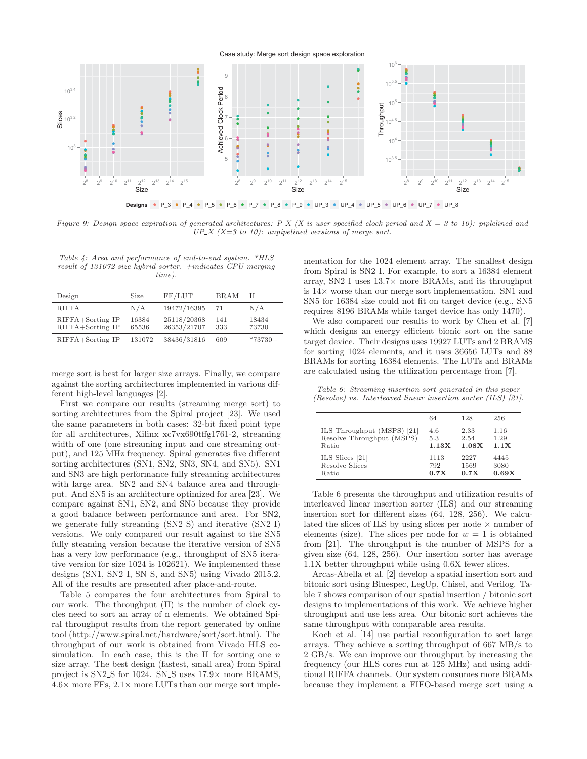### Case study: Merge sort design space exploration



Figure 9: Design space expiration of generated architectures: P\_X (X is user specified clock period and  $X = 3$  to 10): piplelined and  $UP\_X$  (X=3 to 10): unpipelined versions of merge sort.

Table 4: Area and performance of end-to-end system. \*HLS result of 131072 size hybrid sorter. +indicates CPU merging time).

| Design                               | Size           | FF/LUT                     | <b>BRAM</b> | Н              |
|--------------------------------------|----------------|----------------------------|-------------|----------------|
| <b>RIFFA</b>                         | N/A            | 19472/16395                | 71          | N/A            |
| RIFFA+Sorting IP<br>RIFFA+Sorting IP | 16384<br>65536 | 25118/20368<br>26353/21707 | 141<br>333  | 18434<br>73730 |
| RIFFA+Sorting IP                     | 131072         | 38436/31816                | 609         | $*73730+$      |

merge sort is best for larger size arrays. Finally, we compare against the sorting architectures implemented in various different high-level languages [2].

First we compare our results (streaming merge sort) to sorting architectures from the Spiral project [23]. We used the same parameters in both cases: 32-bit fixed point type for all architectures, Xilinx xc7vx690tffg1761-2, streaming width of one (one streaming input and one streaming output), and 125 MHz frequency. Spiral generates five different sorting architectures (SN1, SN2, SN3, SN4, and SN5). SN1 and SN3 are high performance fully streaming architectures with large area. SN2 and SN4 balance area and throughput. And SN5 is an architecture optimized for area [23]. We compare against SN1, SN2, and SN5 because they provide a good balance between performance and area. For SN2, we generate fully streaming (SN2\_S) and iterative (SN2\_I) versions. We only compared our result against to the SN5 fully steaming version because the iterative version of SN5 has a very low performance (e.g., throughput of SN5 iterative version for size 1024 is 102621). We implemented these designs (SN1, SN2<sub>-I</sub>, SN<sub>-S</sub>, and SN<sub>5</sub>) using Vivado 2015.2. All of the results are presented after place-and-route.

Table 5 compares the four architectures from Spiral to our work. The throughput (II) is the number of clock cycles need to sort an array of n elements. We obtained Spiral throughput results from the report generated by online tool (http://www.spiral.net/hardware/sort/sort.html). The throughput of our work is obtained from Vivado HLS cosimulation. In each case, this is the II for sorting one  $n$ size array. The best design (fastest, small area) from Spiral project is SN2\_S for 1024. SN\_S uses  $17.9\times$  more BRAMS,  $4.6\times$  more FFs,  $2.1\times$  more LUTs than our merge sort implementation for the 1024 element array. The smallest design from Spiral is SN2 I. For example, to sort a 16384 element array, SN2<sub>-I</sub> uses  $13.7\times$  more BRAMs, and its throughput is 14× worse than our merge sort implementation. SN1 and SN5 for 16384 size could not fit on target device (e.g., SN5 requires 8196 BRAMs while target device has only 1470).

We also compared our results to work by Chen et al. [7] which designs an energy efficient bionic sort on the same target device. Their designs uses 19927 LUTs and 2 BRAMS for sorting 1024 elements, and it uses 36656 LUTs and 88 BRAMs for sorting 16384 elements. The LUTs and BRAMs are calculated using the utilization percentage from [7].

Table 6: Streaming insertion sort generated in this paper (Resolve) vs. Interleaved linear insertion sorter (ILS) [21].

|                            | 64    | 128   | 256   |
|----------------------------|-------|-------|-------|
| ILS Throughput (MSPS) [21] | 4.6   | 2.33  | 1.16  |
| Resolve Throughput (MSPS)  | 5.3   | 2.54  | 1.29  |
| Ratio                      | 1.13X | 1.08X | 1.1X  |
| ILS Slices [21]            | 1113  | 2227  | 4445  |
| Resolve Slices             | 792   | 1569  | 3080  |
| Ratio                      | 0.7X  | 0.7X  | 0.69X |

Table 6 presents the throughput and utilization results of interleaved linear insertion sorter (ILS) and our streaming insertion sort for different sizes (64, 128, 256). We calculated the slices of ILS by using slices per node  $\times$  number of elements (size). The slices per node for  $w = 1$  is obtained from [21]. The throughput is the number of MSPS for a given size (64, 128, 256). Our insertion sorter has average 1.1X better throughput while using 0.6X fewer slices.

Arcas-Abella et al. [2] develop a spatial insertion sort and bitonic sort using Bluespec, LegUp, Chisel, and Verilog. Table 7 shows comparison of our spatial insertion / bitonic sort designs to implementations of this work. We achieve higher throughput and use less area. Our bitonic sort achieves the same throughput with comparable area results.

Koch et al. [14] use partial reconfiguration to sort large arrays. They achieve a sorting throughput of 667 MB/s to 2 GB/s. We can improve our throughput by increasing the frequency (our HLS cores run at 125 MHz) and using additional RIFFA channels. Our system consumes more BRAMs because they implement a FIFO-based merge sort using a